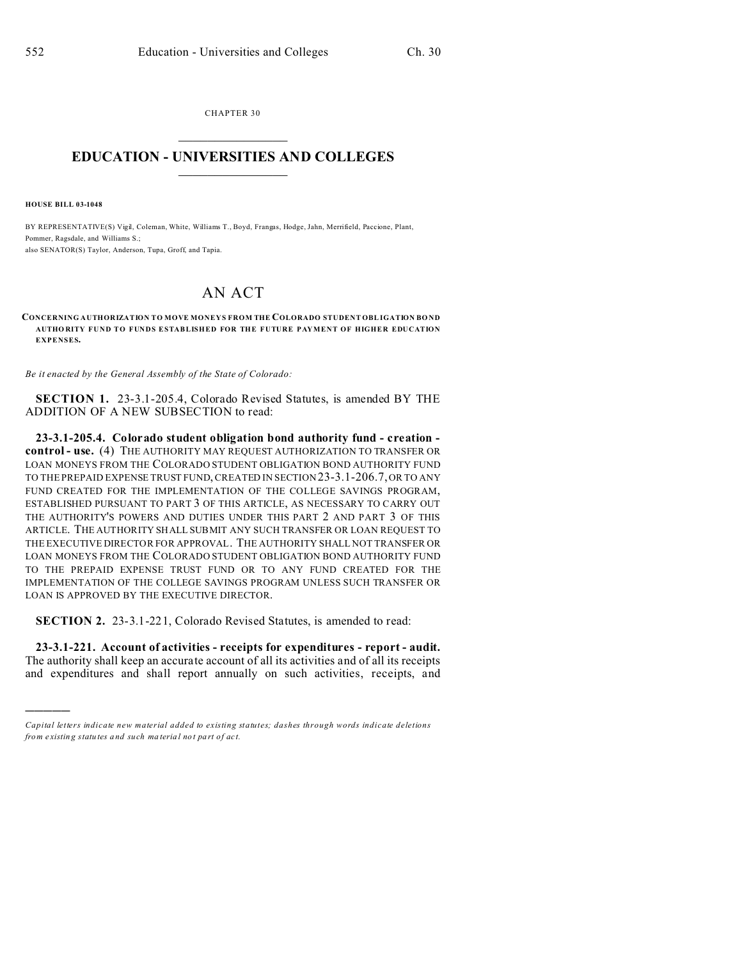CHAPTER 30  $\overline{\phantom{a}}$  , where  $\overline{\phantom{a}}$ 

## **EDUCATION - UNIVERSITIES AND COLLEGES**  $\frac{1}{2}$  ,  $\frac{1}{2}$  ,  $\frac{1}{2}$  ,  $\frac{1}{2}$  ,  $\frac{1}{2}$  ,  $\frac{1}{2}$  ,  $\frac{1}{2}$

**HOUSE BILL 03-1048**

)))))

BY REPRESENTATIVE(S) Vigil, Coleman, White, Williams T., Boyd, Frangas, Hodge, Jahn, Merrifield, Paccione, Plant, Pommer, Ragsdale, and Williams S.; also SENATOR(S) Taylor, Anderson, Tupa, Groff, and Tapia.

## AN ACT

**CONCERNING AUTHORIZATION TO MOVE MONEYS FROM THE COLORADO STUDENT OBL IGATION BO ND AUTHO RITY FUND TO FUNDS ESTABLISHED FOR THE FUTURE PAYMENT OF HIGHER EDUCATION EXPENSES.**

*Be it enacted by the General Assembly of the State of Colorado:*

**SECTION 1.** 23-3.1-205.4, Colorado Revised Statutes, is amended BY THE ADDITION OF A NEW SUBSECTION to read:

**23-3.1-205.4. Colorado student obligation bond authority fund - creation control - use.** (4) THE AUTHORITY MAY REQUEST AUTHORIZATION TO TRANSFER OR LOAN MONEYS FROM THE COLORADO STUDENT OBLIGATION BOND AUTHORITY FUND TO THE PREPAID EXPENSE TRUST FUND, CREATED IN SECTION 23-3.1-206.7, OR TO ANY FUND CREATED FOR THE IMPLEMENTATION OF THE COLLEGE SAVINGS PROGRAM, ESTABLISHED PURSUANT TO PART 3 OF THIS ARTICLE, AS NECESSARY TO CARRY OUT THE AUTHORITY'S POWERS AND DUTIES UNDER THIS PART 2 AND PART 3 OF THIS ARTICLE. THE AUTHORITY SHALL SUBMIT ANY SUCH TRANSFER OR LOAN REQUEST TO THE EXECUTIVE DIRECTOR FOR APPROVAL. THE AUTHORITY SHALL NOT TRANSFER OR LOAN MONEYS FROM THE COLORADO STUDENT OBLIGATION BOND AUTHORITY FUND TO THE PREPAID EXPENSE TRUST FUND OR TO ANY FUND CREATED FOR THE IMPLEMENTATION OF THE COLLEGE SAVINGS PROGRAM UNLESS SUCH TRANSFER OR LOAN IS APPROVED BY THE EXECUTIVE DIRECTOR.

**SECTION 2.** 23-3.1-221, Colorado Revised Statutes, is amended to read:

**23-3.1-221. Account of activities - receipts for expenditures - report - audit.** The authority shall keep an accurate account of all its activities and of all its receipts and expenditures and shall report annually on such activities, receipts, and

*Capital letters indicate new material added to existing statutes; dashes through words indicate deletions from e xistin g statu tes a nd such ma teria l no t pa rt of ac t.*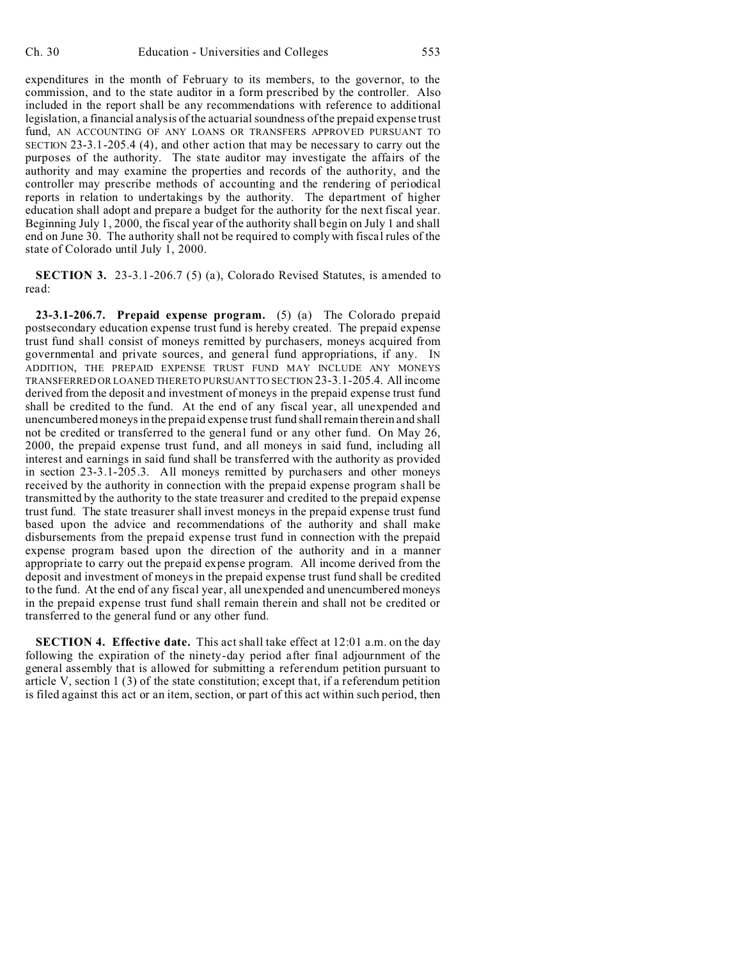expenditures in the month of February to its members, to the governor, to the commission, and to the state auditor in a form prescribed by the controller. Also included in the report shall be any recommendations with reference to additional legislation, a financial analysis of the actuarial soundness of the prepaid expense trust fund, AN ACCOUNTING OF ANY LOANS OR TRANSFERS APPROVED PURSUANT TO SECTION 23-3.1-205.4 (4), and other action that may be necessary to carry out the purposes of the authority. The state auditor may investigate the affairs of the authority and may examine the properties and records of the authority, and the controller may prescribe methods of accounting and the rendering of periodical reports in relation to undertakings by the authority. The department of higher education shall adopt and prepare a budget for the authority for the next fiscal year. Beginning July 1, 2000, the fiscal year of the authority shall begin on July 1 and shall end on June 30. The authority shall not be required to comply with fiscal rules of the state of Colorado until July 1, 2000.

**SECTION 3.** 23-3.1-206.7 (5) (a), Colorado Revised Statutes, is amended to read:

**23-3.1-206.7. Prepaid expense program.** (5) (a) The Colorado prepaid postsecondary education expense trust fund is hereby created. The prepaid expense trust fund shall consist of moneys remitted by purchasers, moneys acquired from governmental and private sources, and general fund appropriations, if any. IN ADDITION, THE PREPAID EXPENSE TRUST FUND MAY INCLUDE ANY MONEYS TRANSFERRED OR LOANED THERETO PURSUANT TO SECTION 23-3.1-205.4. All income derived from the deposit and investment of moneys in the prepaid expense trust fund shall be credited to the fund. At the end of any fiscal year, all unexpended and unencumbered moneys in the prepaid expense trust fund shall remain therein and shall not be credited or transferred to the general fund or any other fund. On May 26, 2000, the prepaid expense trust fund, and all moneys in said fund, including all interest and earnings in said fund shall be transferred with the authority as provided in section 23-3.1-205.3. All moneys remitted by purchasers and other moneys received by the authority in connection with the prepaid expense program shall be transmitted by the authority to the state treasurer and credited to the prepaid expense trust fund. The state treasurer shall invest moneys in the prepaid expense trust fund based upon the advice and recommendations of the authority and shall make disbursements from the prepaid expense trust fund in connection with the prepaid expense program based upon the direction of the authority and in a manner appropriate to carry out the prepaid expense program. All income derived from the deposit and investment of moneys in the prepaid expense trust fund shall be credited to the fund. At the end of any fiscal year, all unexpended and unencumbered moneys in the prepaid expense trust fund shall remain therein and shall not be credited or transferred to the general fund or any other fund.

**SECTION 4. Effective date.** This act shall take effect at 12:01 a.m. on the day following the expiration of the ninety-day period after final adjournment of the general assembly that is allowed for submitting a referendum petition pursuant to article V, section  $1(3)$  of the state constitution; except that, if a referendum petition is filed against this act or an item, section, or part of this act within such period, then